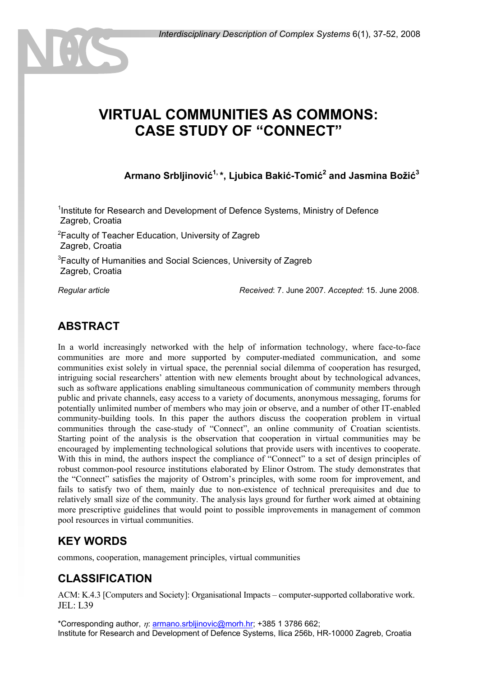# **VIRTUAL COMMUNITIES AS COMMONS: CASE STUDY OF "CONNECT"**

**Armano Srbljinović1, \*, Ljubica Bakić-Tomić<sup>2</sup> and Jasmina Božić<sup>3</sup>**

<sup>1</sup>Institute for Research and Development of Defence Systems, Ministry of Defence Zagreb, Croatia

<sup>2</sup> Faculty of Teacher Education, University of Zagreb Zagreb, Croatia

<sup>3</sup> Faculty of Humanities and Social Sciences, University of Zagreb Zagreb, Croatia

*Regular article Received*: 7. June 2007. *Accepted*: 15. June 2008.

### **ABSTRACT**

In a world increasingly networked with the help of information technology, where face-to-face communities are more and more supported by computer-mediated communication, and some communities exist solely in virtual space, the perennial social dilemma of cooperation has resurged, intriguing social researchers' attention with new elements brought about by technological advances, such as software applications enabling simultaneous communication of community members through public and private channels, easy access to a variety of documents, anonymous messaging, forums for potentially unlimited number of members who may join or observe, and a number of other IT-enabled community-building tools. In this paper the authors discuss the cooperation problem in virtual communities through the case-study of "Connect", an online community of Croatian scientists. Starting point of the analysis is the observation that cooperation in virtual communities may be encouraged by implementing technological solutions that provide users with incentives to cooperate. With this in mind, the authors inspect the compliance of "Connect" to a set of design principles of robust common-pool resource institutions elaborated by Elinor Ostrom. The study demonstrates that the "Connect" satisfies the majority of Ostrom's principles, with some room for improvement, and fails to satisfy two of them, mainly due to non-existence of technical prerequisites and due to relatively small size of the community. The analysis lays ground for further work aimed at obtaining more prescriptive guidelines that would point to possible improvements in management of common pool resources in virtual communities.

### **KEY WORDS**

commons, cooperation, management principles, virtual communities

### **CLASSIFICATION**

ACM: K.4.3 [Computers and Society]: Organisational Impacts – computer-supported collaborative work. JEL: L39

\*Corresponding author,  $n:$  armano.srblijnovic@morh.hr; +385 1 3786 662; Institute for Research and Development of Defence Systems, Ilica 256b, HR-10000 Zagreb, Croatia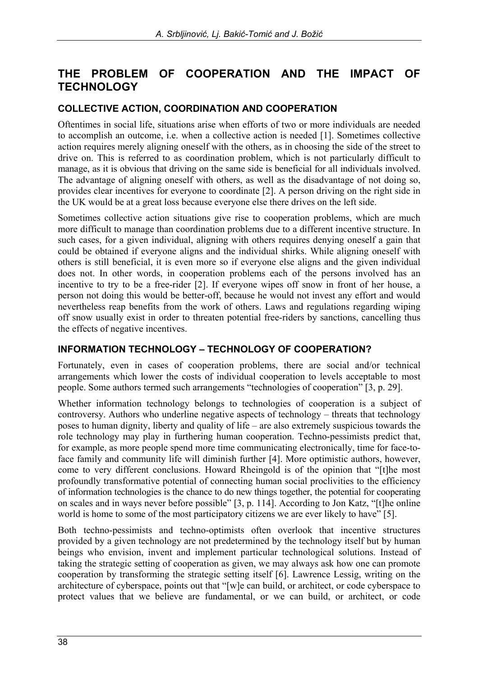### **THE PROBLEM OF COOPERATION AND THE IMPACT OF TECHNOLOGY**

#### **COLLECTIVE ACTION, COORDINATION AND COOPERATION**

Oftentimes in social life, situations arise when efforts of two or more individuals are needed to accomplish an outcome, i.e. when a collective action is needed [1]. Sometimes collective action requires merely aligning oneself with the others, as in choosing the side of the street to drive on. This is referred to as coordination problem, which is not particularly difficult to manage, as it is obvious that driving on the same side is beneficial for all individuals involved. The advantage of aligning oneself with others, as well as the disadvantage of not doing so, provides clear incentives for everyone to coordinate [2]. A person driving on the right side in the UK would be at a great loss because everyone else there drives on the left side.

Sometimes collective action situations give rise to cooperation problems, which are much more difficult to manage than coordination problems due to a different incentive structure. In such cases, for a given individual, aligning with others requires denying oneself a gain that could be obtained if everyone aligns and the individual shirks. While aligning oneself with others is still beneficial, it is even more so if everyone else aligns and the given individual does not. In other words, in cooperation problems each of the persons involved has an incentive to try to be a free-rider [2]. If everyone wipes off snow in front of her house, a person not doing this would be better-off, because he would not invest any effort and would nevertheless reap benefits from the work of others. Laws and regulations regarding wiping off snow usually exist in order to threaten potential free-riders by sanctions, cancelling thus the effects of negative incentives.

#### **INFORMATION TECHNOLOGY – TECHNOLOGY OF COOPERATION?**

Fortunately, even in cases of cooperation problems, there are social and/or technical arrangements which lower the costs of individual cooperation to levels acceptable to most people. Some authors termed such arrangements "technologies of cooperation" [3, p. 29].

Whether information technology belongs to technologies of cooperation is a subject of controversy. Authors who underline negative aspects of technology – threats that technology poses to human dignity, liberty and quality of life – are also extremely suspicious towards the role technology may play in furthering human cooperation. Techno-pessimists predict that, for example, as more people spend more time communicating electronically, time for face-toface family and community life will diminish further [4]. More optimistic authors, however, come to very different conclusions. Howard Rheingold is of the opinion that "[t]he most profoundly transformative potential of connecting human social proclivities to the efficiency of information technologies is the chance to do new things together, the potential for cooperating on scales and in ways never before possible" [3, p. 114]. According to Jon Katz, "[t]he online world is home to some of the most participatory citizens we are ever likely to have" [5].

Both techno-pessimists and techno-optimists often overlook that incentive structures provided by a given technology are not predetermined by the technology itself but by human beings who envision, invent and implement particular technological solutions. Instead of taking the strategic setting of cooperation as given, we may always ask how one can promote cooperation by transforming the strategic setting itself [6]. Lawrence Lessig, writing on the architecture of cyberspace, points out that "[w]e can build, or architect, or code cyberspace to protect values that we believe are fundamental, or we can build, or architect, or code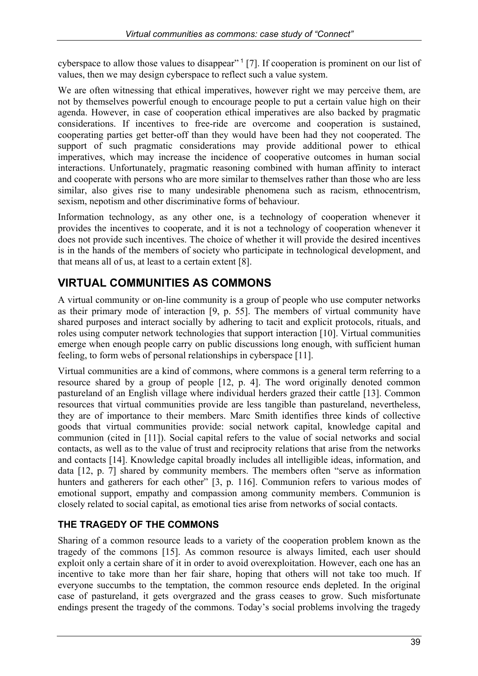cyberspace to allow those values to disappear"<sup>1</sup> [7]. If cooperation is prominent on our list of values, then we may design cyberspace to reflect such a value system.

We are often witnessing that ethical imperatives, however right we may perceive them, are not by themselves powerful enough to encourage people to put a certain value high on their agenda. However, in case of cooperation ethical imperatives are also backed by pragmatic considerations. If incentives to free-ride are overcome and cooperation is sustained, cooperating parties get better-off than they would have been had they not cooperated. The support of such pragmatic considerations may provide additional power to ethical imperatives, which may increase the incidence of cooperative outcomes in human social interactions. Unfortunately, pragmatic reasoning combined with human affinity to interact and cooperate with persons who are more similar to themselves rather than those who are less similar, also gives rise to many undesirable phenomena such as racism, ethnocentrism, sexism, nepotism and other discriminative forms of behaviour.

Information technology, as any other one, is a technology of cooperation whenever it provides the incentives to cooperate, and it is not a technology of cooperation whenever it does not provide such incentives. The choice of whether it will provide the desired incentives is in the hands of the members of society who participate in technological development, and that means all of us, at least to a certain extent [8].

# **VIRTUAL COMMUNITIES AS COMMONS**

A virtual community or on-line community is a group of people who use computer networks as their primary mode of interaction [9, p. 55]. The members of virtual community have shared purposes and interact socially by adhering to tacit and explicit protocols, rituals, and roles using computer network technologies that support interaction [10]. Virtual communities emerge when enough people carry on public discussions long enough, with sufficient human feeling, to form webs of personal relationships in cyberspace [11].

Virtual communities are a kind of commons, where commons is a general term referring to a resource shared by a group of people [12, p. 4]. The word originally denoted common pastureland of an English village where individual herders grazed their cattle [13]. Common resources that virtual communities provide are less tangible than pastureland, nevertheless, they are of importance to their members. Marc Smith identifies three kinds of collective goods that virtual communities provide: social network capital, knowledge capital and communion (cited in [11]). Social capital refers to the value of social networks and social contacts, as well as to the value of trust and reciprocity relations that arise from the networks and contacts [14]. Knowledge capital broadly includes all intelligible ideas, information, and data [12, p. 7] shared by community members. The members often "serve as information hunters and gatherers for each other" [3, p. 116]. Communion refers to various modes of emotional support, empathy and compassion among community members. Communion is closely related to social capital, as emotional ties arise from networks of social contacts.

### **THE TRAGEDY OF THE COMMONS**

Sharing of a common resource leads to a variety of the cooperation problem known as the tragedy of the commons [15]. As common resource is always limited, each user should exploit only a certain share of it in order to avoid overexploitation. However, each one has an incentive to take more than her fair share, hoping that others will not take too much. If everyone succumbs to the temptation, the common resource ends depleted. In the original case of pastureland, it gets overgrazed and the grass ceases to grow. Such misfortunate endings present the tragedy of the commons. Today's social problems involving the tragedy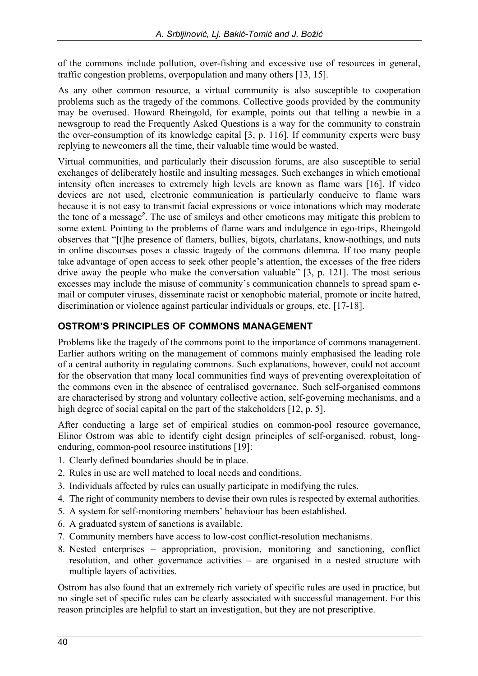of the commons include pollution, over-fishing and excessive use of resources in general, traffic congestion problems, overpopulation and many others [13, 15].

As any other common resource, a virtual community is also susceptible to cooperation problems such as the tragedy of the commons. Collective goods provided by the community may be overused. Howard Rheingold, for example, points out that telling a newbie in a newsgroup to read the Frequently Asked Questions is a way for the community to constrain the over-consumption of its knowledge capital [3, p. 116]. If community experts were busy replying to newcomers all the time, their valuable time would be wasted.

Virtual communities, and particularly their discussion forums, are also susceptible to serial exchanges of deliberately hostile and insulting messages. Such exchanges in which emotional intensity often increases to extremely high levels are known as flame wars [16]. If video devices are not used, electronic communication is particularly conducive to flame wars because it is not easy to transmit facial expressions or voice intonations which may moderate the tone of a message<sup>2</sup>. The use of smileys and other emoticons may mitigate this problem to some extent. Pointing to the problems of flame wars and indulgence in ego-trips, Rheingold observes that "[t]he presence of flamers, bullies, bigots, charlatans, know-nothings, and nuts in online discourses poses a classic tragedy of the commons dilemma. If too many people take advantage of open access to seek other people's attention, the excesses of the free riders drive away the people who make the conversation valuable" [3, p. 121]. The most serious excesses may include the misuse of community's communication channels to spread spam email or computer viruses, disseminate racist or xenophobic material, promote or incite hatred, discrimination or violence against particular individuals or groups, etc. [17-18].

### **OSTROM'S PRINCIPLES OF COMMONS MANAGEMENT**

Problems like the tragedy of the commons point to the importance of commons management. Earlier authors writing on the management of commons mainly emphasised the leading role of a central authority in regulating commons. Such explanations, however, could not account for the observation that many local communities find ways of preventing overexploitation of the commons even in the absence of centralised governance. Such self-organised commons are characterised by strong and voluntary collective action, self-governing mechanisms, and a high degree of social capital on the part of the stakeholders [12, p. 5].

After conducting a large set of empirical studies on common-pool resource governance, Elinor Ostrom was able to identify eight design principles of self-organised, robust, longenduring, common-pool resource institutions [19]:

- 1. Clearly defined boundaries should be in place.
- 2. Rules in use are well matched to local needs and conditions.
- 3. Individuals affected by rules can usually participate in modifying the rules.
- 4. The right of community members to devise their own rules is respected by external authorities.
- 5. A system for self-monitoring members' behaviour has been established.
- 6. A graduated system of sanctions is available.
- 7. Community members have access to low-cost conflict-resolution mechanisms.
- 8. Nested enterprises appropriation, provision, monitoring and sanctioning, conflict resolution, and other governance activities – are organised in a nested structure with multiple layers of activities.

Ostrom has also found that an extremely rich variety of specific rules are used in practice, but no single set of specific rules can be clearly associated with successful management. For this reason principles are helpful to start an investigation, but they are not prescriptive.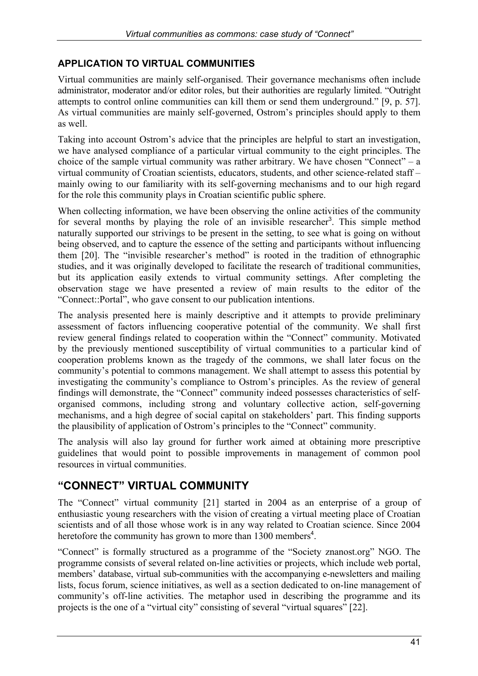#### **APPLICATION TO VIRTUAL COMMUNITIES**

Virtual communities are mainly self-organised. Their governance mechanisms often include administrator, moderator and/or editor roles, but their authorities are regularly limited. "Outright attempts to control online communities can kill them or send them underground." [9, p. 57]. As virtual communities are mainly self-governed, Ostrom's principles should apply to them as well.

Taking into account Ostrom's advice that the principles are helpful to start an investigation, we have analysed compliance of a particular virtual community to the eight principles. The choice of the sample virtual community was rather arbitrary. We have chosen "Connect" – a virtual community of Croatian scientists, educators, students, and other science-related staff – mainly owing to our familiarity with its self-governing mechanisms and to our high regard for the role this community plays in Croatian scientific public sphere.

When collecting information, we have been observing the online activities of the community for several months by playing the role of an invisible researcher<sup>3</sup>. This simple method naturally supported our strivings to be present in the setting, to see what is going on without being observed, and to capture the essence of the setting and participants without influencing them [20]. The "invisible researcher's method" is rooted in the tradition of ethnographic studies, and it was originally developed to facilitate the research of traditional communities, but its application easily extends to virtual community settings. After completing the observation stage we have presented a review of main results to the editor of the "Connect::Portal", who gave consent to our publication intentions.

The analysis presented here is mainly descriptive and it attempts to provide preliminary assessment of factors influencing cooperative potential of the community. We shall first review general findings related to cooperation within the "Connect" community. Motivated by the previously mentioned susceptibility of virtual communities to a particular kind of cooperation problems known as the tragedy of the commons, we shall later focus on the community's potential to commons management. We shall attempt to assess this potential by investigating the community's compliance to Ostrom's principles. As the review of general findings will demonstrate, the "Connect" community indeed possesses characteristics of selforganised commons, including strong and voluntary collective action, self-governing mechanisms, and a high degree of social capital on stakeholders' part. This finding supports the plausibility of application of Ostrom's principles to the "Connect" community.

The analysis will also lay ground for further work aimed at obtaining more prescriptive guidelines that would point to possible improvements in management of common pool resources in virtual communities.

### **"CONNECT" VIRTUAL COMMUNITY**

The "Connect" virtual community [21] started in 2004 as an enterprise of a group of enthusiastic young researchers with the vision of creating a virtual meeting place of Croatian scientists and of all those whose work is in any way related to Croatian science. Since 2004 heretofore the community has grown to more than 1300 members<sup>4</sup>.

"Connect" is formally structured as a programme of the "Society znanost.org" NGO. The programme consists of several related on-line activities or projects, which include web portal, members' database, virtual sub-communities with the accompanying e-newsletters and mailing lists, focus forum, science initiatives, as well as a section dedicated to on-line management of community's off-line activities. The metaphor used in describing the programme and its projects is the one of a "virtual city" consisting of several "virtual squares" [22].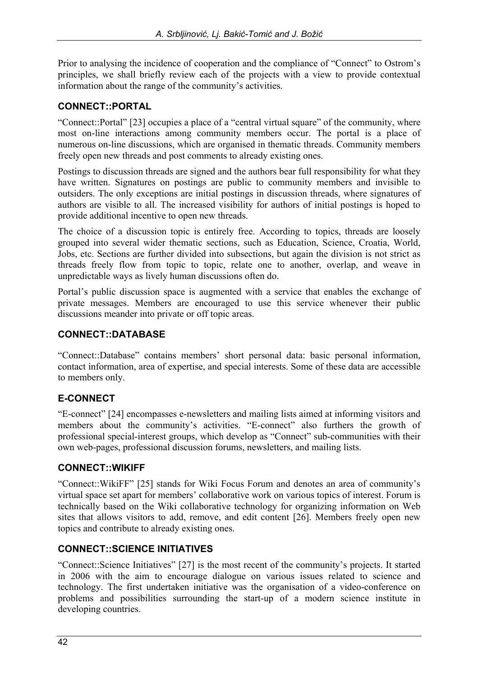Prior to analysing the incidence of cooperation and the compliance of "Connect" to Ostrom's principles, we shall briefly review each of the projects with a view to provide contextual information about the range of the community's activities.

### **CONNECT::PORTAL**

"Connect::Portal" [23] occupies a place of a "central virtual square" of the community, where most on-line interactions among community members occur. The portal is a place of numerous on-line discussions, which are organised in thematic threads. Community members freely open new threads and post comments to already existing ones.

Postings to discussion threads are signed and the authors bear full responsibility for what they have written. Signatures on postings are public to community members and invisible to outsiders. The only exceptions are initial postings in discussion threads, where signatures of authors are visible to all. The increased visibility for authors of initial postings is hoped to provide additional incentive to open new threads.

The choice of a discussion topic is entirely free. According to topics, threads are loosely grouped into several wider thematic sections, such as Education, Science, Croatia, World, Jobs, etc. Sections are further divided into subsections, but again the division is not strict as threads freely flow from topic to topic, relate one to another, overlap, and weave in unpredictable ways as lively human discussions often do.

Portal's public discussion space is augmented with a service that enables the exchange of private messages. Members are encouraged to use this service whenever their public discussions meander into private or off topic areas.

### **CONNECT::DATABASE**

"Connect::Database" contains members' short personal data: basic personal information, contact information, area of expertise, and special interests. Some of these data are accessible to members only.

### **E-CONNECT**

"E-connect" [24] encompasses e-newsletters and mailing lists aimed at informing visitors and members about the community's activities. "E-connect" also furthers the growth of professional special-interest groups, which develop as "Connect" sub-communities with their own web-pages, professional discussion forums, newsletters, and mailing lists.

#### **CONNECT::WIKIFF**

"Connect::WikiFF" [25] stands for Wiki Focus Forum and denotes an area of community's virtual space set apart for members' collaborative work on various topics of interest. Forum is technically based on the Wiki collaborative technology for organizing information on Web sites that allows visitors to add, remove, and edit content [26]. Members freely open new topics and contribute to already existing ones.

#### **CONNECT::SCIENCE INITIATIVES**

"Connect::Science Initiatives" [27] is the most recent of the community's projects. It started in 2006 with the aim to encourage dialogue on various issues related to science and technology. The first undertaken initiative was the organisation of a video-conference on problems and possibilities surrounding the start-up of a modern science institute in developing countries.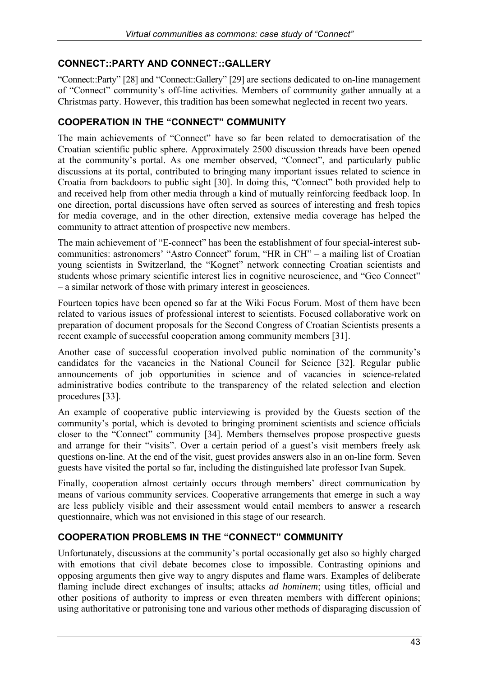### **CONNECT::PARTY AND CONNECT::GALLERY**

"Connect::Party" [28] and "Connect::Gallery" [29] are sections dedicated to on-line management of "Connect" community's off-line activities. Members of community gather annually at a Christmas party. However, this tradition has been somewhat neglected in recent two years.

#### **COOPERATION IN THE "CONNECT" COMMUNITY**

The main achievements of "Connect" have so far been related to democratisation of the Croatian scientific public sphere. Approximately 2500 discussion threads have been opened at the community's portal. As one member observed, "Connect", and particularly public discussions at its portal, contributed to bringing many important issues related to science in Croatia from backdoors to public sight [30]. In doing this, "Connect" both provided help to and received help from other media through a kind of mutually reinforcing feedback loop. In one direction, portal discussions have often served as sources of interesting and fresh topics for media coverage, and in the other direction, extensive media coverage has helped the community to attract attention of prospective new members.

The main achievement of "E-connect" has been the establishment of four special-interest subcommunities: astronomers' "Astro Connect" forum, "HR in CH" – a mailing list of Croatian young scientists in Switzerland, the "Kognet" network connecting Croatian scientists and students whose primary scientific interest lies in cognitive neuroscience, and "Geo Connect" – a similar network of those with primary interest in geosciences.

Fourteen topics have been opened so far at the Wiki Focus Forum. Most of them have been related to various issues of professional interest to scientists. Focused collaborative work on preparation of document proposals for the Second Congress of Croatian Scientists presents a recent example of successful cooperation among community members [31].

Another case of successful cooperation involved public nomination of the community's candidates for the vacancies in the National Council for Science [32]. Regular public announcements of job opportunities in science and of vacancies in science-related administrative bodies contribute to the transparency of the related selection and election procedures [33].

An example of cooperative public interviewing is provided by the Guests section of the community's portal, which is devoted to bringing prominent scientists and science officials closer to the "Connect" community [34]. Members themselves propose prospective guests and arrange for their "visits". Over a certain period of a guest's visit members freely ask questions on-line. At the end of the visit, guest provides answers also in an on-line form. Seven guests have visited the portal so far, including the distinguished late professor Ivan Supek.

Finally, cooperation almost certainly occurs through members' direct communication by means of various community services. Cooperative arrangements that emerge in such a way are less publicly visible and their assessment would entail members to answer a research questionnaire, which was not envisioned in this stage of our research.

### **COOPERATION PROBLEMS IN THE "CONNECT" COMMUNITY**

Unfortunately, discussions at the community's portal occasionally get also so highly charged with emotions that civil debate becomes close to impossible. Contrasting opinions and opposing arguments then give way to angry disputes and flame wars. Examples of deliberate flaming include direct exchanges of insults; attacks *ad hominem*; using titles, official and other positions of authority to impress or even threaten members with different opinions; using authoritative or patronising tone and various other methods of disparaging discussion of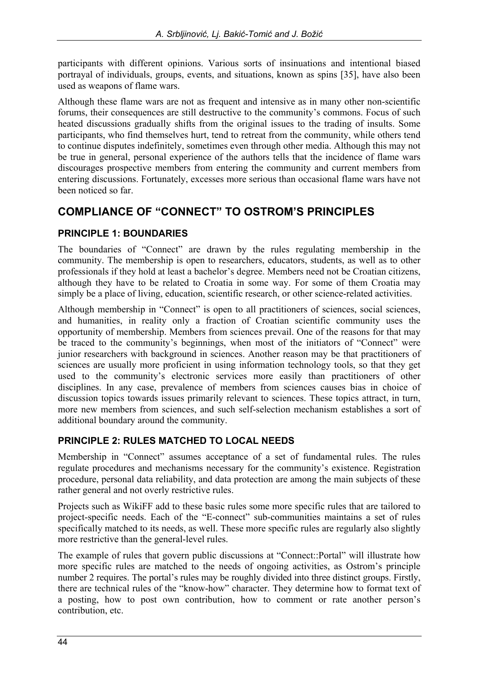participants with different opinions. Various sorts of insinuations and intentional biased portrayal of individuals, groups, events, and situations, known as spins [35], have also been used as weapons of flame wars.

Although these flame wars are not as frequent and intensive as in many other non-scientific forums, their consequences are still destructive to the community's commons. Focus of such heated discussions gradually shifts from the original issues to the trading of insults. Some participants, who find themselves hurt, tend to retreat from the community, while others tend to continue disputes indefinitely, sometimes even through other media. Although this may not be true in general, personal experience of the authors tells that the incidence of flame wars discourages prospective members from entering the community and current members from entering discussions. Fortunately, excesses more serious than occasional flame wars have not been noticed so far.

### **COMPLIANCE OF "CONNECT" TO OSTROM'S PRINCIPLES**

### **PRINCIPLE 1: BOUNDARIES**

The boundaries of "Connect" are drawn by the rules regulating membership in the community. The membership is open to researchers, educators, students, as well as to other professionals if they hold at least a bachelor's degree. Members need not be Croatian citizens, although they have to be related to Croatia in some way. For some of them Croatia may simply be a place of living, education, scientific research, or other science-related activities.

Although membership in "Connect" is open to all practitioners of sciences, social sciences, and humanities, in reality only a fraction of Croatian scientific community uses the opportunity of membership. Members from sciences prevail. One of the reasons for that may be traced to the community's beginnings, when most of the initiators of "Connect" were junior researchers with background in sciences. Another reason may be that practitioners of sciences are usually more proficient in using information technology tools, so that they get used to the community's electronic services more easily than practitioners of other disciplines. In any case, prevalence of members from sciences causes bias in choice of discussion topics towards issues primarily relevant to sciences. These topics attract, in turn, more new members from sciences, and such self-selection mechanism establishes a sort of additional boundary around the community.

### **PRINCIPLE 2: RULES MATCHED TO LOCAL NEEDS**

Membership in "Connect" assumes acceptance of a set of fundamental rules. The rules regulate procedures and mechanisms necessary for the community's existence. Registration procedure, personal data reliability, and data protection are among the main subjects of these rather general and not overly restrictive rules.

Projects such as WikiFF add to these basic rules some more specific rules that are tailored to project-specific needs. Each of the "E-connect" sub-communities maintains a set of rules specifically matched to its needs, as well. These more specific rules are regularly also slightly more restrictive than the general-level rules.

The example of rules that govern public discussions at "Connect::Portal" will illustrate how more specific rules are matched to the needs of ongoing activities, as Ostrom's principle number 2 requires. The portal's rules may be roughly divided into three distinct groups. Firstly, there are technical rules of the "know-how" character. They determine how to format text of a posting, how to post own contribution, how to comment or rate another person's contribution, etc.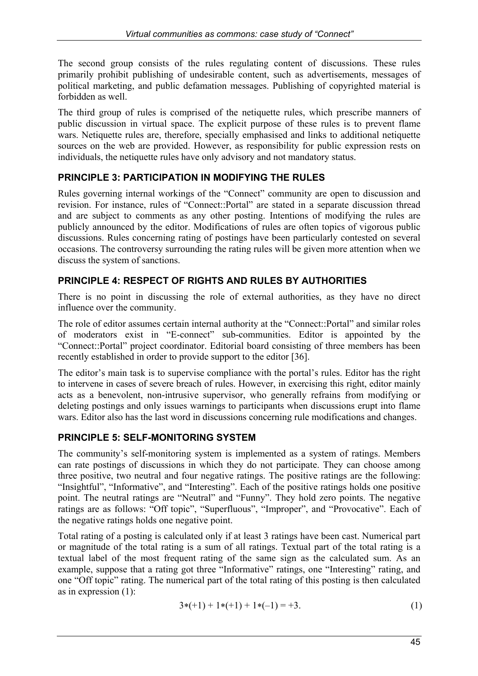The second group consists of the rules regulating content of discussions. These rules primarily prohibit publishing of undesirable content, such as advertisements, messages of political marketing, and public defamation messages. Publishing of copyrighted material is forbidden as well.

The third group of rules is comprised of the netiquette rules, which prescribe manners of public discussion in virtual space. The explicit purpose of these rules is to prevent flame wars. Netiquette rules are, therefore, specially emphasised and links to additional netiquette sources on the web are provided. However, as responsibility for public expression rests on individuals, the netiquette rules have only advisory and not mandatory status.

### **PRINCIPLE 3: PARTICIPATION IN MODIFYING THE RULES**

Rules governing internal workings of the "Connect" community are open to discussion and revision. For instance, rules of "Connect::Portal" are stated in a separate discussion thread and are subject to comments as any other posting. Intentions of modifying the rules are publicly announced by the editor. Modifications of rules are often topics of vigorous public discussions. Rules concerning rating of postings have been particularly contested on several occasions. The controversy surrounding the rating rules will be given more attention when we discuss the system of sanctions.

### **PRINCIPLE 4: RESPECT OF RIGHTS AND RULES BY AUTHORITIES**

There is no point in discussing the role of external authorities, as they have no direct influence over the community.

The role of editor assumes certain internal authority at the "Connect::Portal" and similar roles of moderators exist in "E-connect" sub-communities. Editor is appointed by the "Connect::Portal" project coordinator. Editorial board consisting of three members has been recently established in order to provide support to the editor [36].

The editor's main task is to supervise compliance with the portal's rules. Editor has the right to intervene in cases of severe breach of rules. However, in exercising this right, editor mainly acts as a benevolent, non-intrusive supervisor, who generally refrains from modifying or deleting postings and only issues warnings to participants when discussions erupt into flame wars. Editor also has the last word in discussions concerning rule modifications and changes.

### **PRINCIPLE 5: SELF-MONITORING SYSTEM**

The community's self-monitoring system is implemented as a system of ratings. Members can rate postings of discussions in which they do not participate. They can choose among three positive, two neutral and four negative ratings. The positive ratings are the following: "Insightful", "Informative", and "Interesting". Each of the positive ratings holds one positive point. The neutral ratings are "Neutral" and "Funny". They hold zero points. The negative ratings are as follows: "Off topic", "Superfluous", "Improper", and "Provocative". Each of the negative ratings holds one negative point.

Total rating of a posting is calculated only if at least 3 ratings have been cast. Numerical part or magnitude of the total rating is a sum of all ratings. Textual part of the total rating is a textual label of the most frequent rating of the same sign as the calculated sum. As an example, suppose that a rating got three "Informative" ratings, one "Interesting" rating, and one "Off topic" rating. The numerical part of the total rating of this posting is then calculated as in expression (1):

$$
3*(-1) + 1*(-1) + 1*(-1) = +3.
$$
 (1)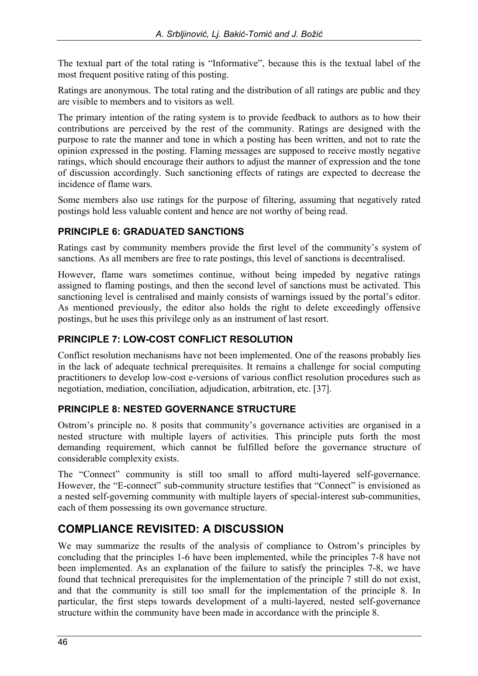The textual part of the total rating is "Informative", because this is the textual label of the most frequent positive rating of this posting.

Ratings are anonymous. The total rating and the distribution of all ratings are public and they are visible to members and to visitors as well.

The primary intention of the rating system is to provide feedback to authors as to how their contributions are perceived by the rest of the community. Ratings are designed with the purpose to rate the manner and tone in which a posting has been written, and not to rate the opinion expressed in the posting. Flaming messages are supposed to receive mostly negative ratings, which should encourage their authors to adjust the manner of expression and the tone of discussion accordingly. Such sanctioning effects of ratings are expected to decrease the incidence of flame wars.

Some members also use ratings for the purpose of filtering, assuming that negatively rated postings hold less valuable content and hence are not worthy of being read.

#### **PRINCIPLE 6: GRADUATED SANCTIONS**

Ratings cast by community members provide the first level of the community's system of sanctions. As all members are free to rate postings, this level of sanctions is decentralised.

However, flame wars sometimes continue, without being impeded by negative ratings assigned to flaming postings, and then the second level of sanctions must be activated. This sanctioning level is centralised and mainly consists of warnings issued by the portal's editor. As mentioned previously, the editor also holds the right to delete exceedingly offensive postings, but he uses this privilege only as an instrument of last resort.

### **PRINCIPLE 7: LOW-COST CONFLICT RESOLUTION**

Conflict resolution mechanisms have not been implemented. One of the reasons probably lies in the lack of adequate technical prerequisites. It remains a challenge for social computing practitioners to develop low-cost e-versions of various conflict resolution procedures such as negotiation, mediation, conciliation, adjudication, arbitration, etc. [37].

#### **PRINCIPLE 8: NESTED GOVERNANCE STRUCTURE**

Ostrom's principle no. 8 posits that community's governance activities are organised in a nested structure with multiple layers of activities. This principle puts forth the most demanding requirement, which cannot be fulfilled before the governance structure of considerable complexity exists.

The "Connect" community is still too small to afford multi-layered self-governance. However, the "E-connect" sub-community structure testifies that "Connect" is envisioned as a nested self-governing community with multiple layers of special-interest sub-communities, each of them possessing its own governance structure.

### **COMPLIANCE REVISITED: A DISCUSSION**

We may summarize the results of the analysis of compliance to Ostrom's principles by concluding that the principles 1-6 have been implemented, while the principles 7-8 have not been implemented. As an explanation of the failure to satisfy the principles 7-8, we have found that technical prerequisites for the implementation of the principle 7 still do not exist, and that the community is still too small for the implementation of the principle 8. In particular, the first steps towards development of a multi-layered, nested self-governance structure within the community have been made in accordance with the principle 8.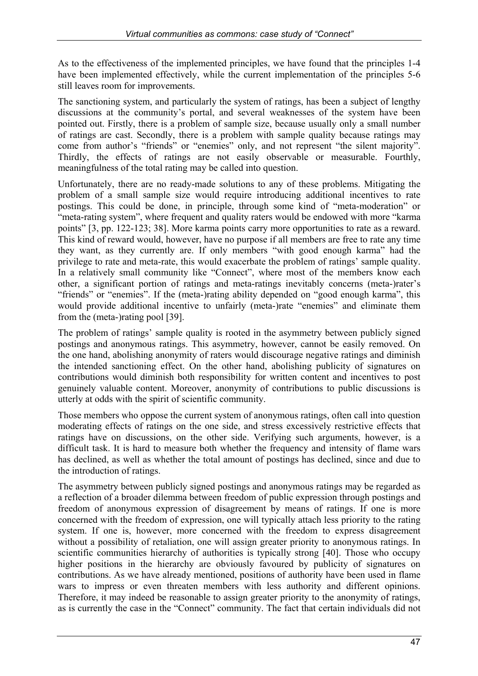As to the effectiveness of the implemented principles, we have found that the principles 1-4 have been implemented effectively, while the current implementation of the principles 5-6 still leaves room for improvements.

The sanctioning system, and particularly the system of ratings, has been a subject of lengthy discussions at the community's portal, and several weaknesses of the system have been pointed out. Firstly, there is a problem of sample size, because usually only a small number of ratings are cast. Secondly, there is a problem with sample quality because ratings may come from author's "friends" or "enemies" only, and not represent "the silent majority". Thirdly, the effects of ratings are not easily observable or measurable. Fourthly, meaningfulness of the total rating may be called into question.

Unfortunately, there are no ready-made solutions to any of these problems. Mitigating the problem of a small sample size would require introducing additional incentives to rate postings. This could be done, in principle, through some kind of "meta-moderation" or "meta-rating system", where frequent and quality raters would be endowed with more "karma points" [3, pp. 122-123; 38]. More karma points carry more opportunities to rate as a reward. This kind of reward would, however, have no purpose if all members are free to rate any time they want, as they currently are. If only members "with good enough karma" had the privilege to rate and meta-rate, this would exacerbate the problem of ratings' sample quality. In a relatively small community like "Connect", where most of the members know each other, a significant portion of ratings and meta-ratings inevitably concerns (meta-)rater's "friends" or "enemies". If the (meta-)rating ability depended on "good enough karma", this would provide additional incentive to unfairly (meta-)rate "enemies" and eliminate them from the (meta-)rating pool [39].

The problem of ratings' sample quality is rooted in the asymmetry between publicly signed postings and anonymous ratings. This asymmetry, however, cannot be easily removed. On the one hand, abolishing anonymity of raters would discourage negative ratings and diminish the intended sanctioning effect. On the other hand, abolishing publicity of signatures on contributions would diminish both responsibility for written content and incentives to post genuinely valuable content. Moreover, anonymity of contributions to public discussions is utterly at odds with the spirit of scientific community.

Those members who oppose the current system of anonymous ratings, often call into question moderating effects of ratings on the one side, and stress excessively restrictive effects that ratings have on discussions, on the other side. Verifying such arguments, however, is a difficult task. It is hard to measure both whether the frequency and intensity of flame wars has declined, as well as whether the total amount of postings has declined, since and due to the introduction of ratings.

The asymmetry between publicly signed postings and anonymous ratings may be regarded as a reflection of a broader dilemma between freedom of public expression through postings and freedom of anonymous expression of disagreement by means of ratings. If one is more concerned with the freedom of expression, one will typically attach less priority to the rating system. If one is, however, more concerned with the freedom to express disagreement without a possibility of retaliation, one will assign greater priority to anonymous ratings. In scientific communities hierarchy of authorities is typically strong [40]. Those who occupy higher positions in the hierarchy are obviously favoured by publicity of signatures on contributions. As we have already mentioned, positions of authority have been used in flame wars to impress or even threaten members with less authority and different opinions. Therefore, it may indeed be reasonable to assign greater priority to the anonymity of ratings, as is currently the case in the "Connect" community. The fact that certain individuals did not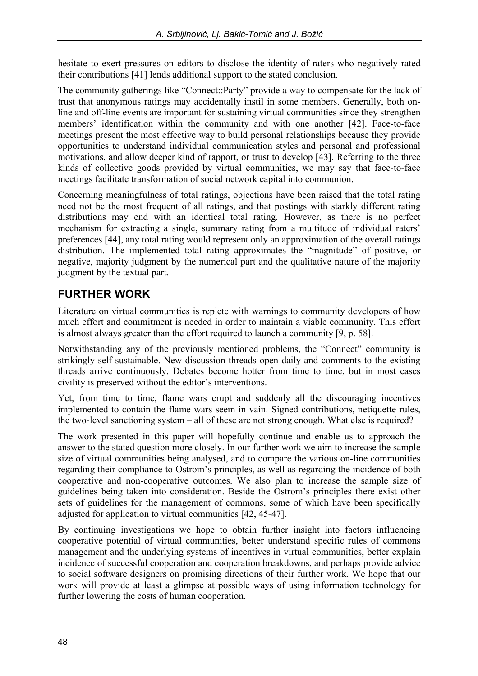hesitate to exert pressures on editors to disclose the identity of raters who negatively rated their contributions [41] lends additional support to the stated conclusion.

The community gatherings like "Connect::Party" provide a way to compensate for the lack of trust that anonymous ratings may accidentally instil in some members. Generally, both online and off-line events are important for sustaining virtual communities since they strengthen members' identification within the community and with one another [42]. Face-to-face meetings present the most effective way to build personal relationships because they provide opportunities to understand individual communication styles and personal and professional motivations, and allow deeper kind of rapport, or trust to develop [43]. Referring to the three kinds of collective goods provided by virtual communities, we may say that face-to-face meetings facilitate transformation of social network capital into communion.

Concerning meaningfulness of total ratings, objections have been raised that the total rating need not be the most frequent of all ratings, and that postings with starkly different rating distributions may end with an identical total rating. However, as there is no perfect mechanism for extracting a single, summary rating from a multitude of individual raters' preferences [44], any total rating would represent only an approximation of the overall ratings distribution. The implemented total rating approximates the "magnitude" of positive, or negative, majority judgment by the numerical part and the qualitative nature of the majority judgment by the textual part.

### **FURTHER WORK**

Literature on virtual communities is replete with warnings to community developers of how much effort and commitment is needed in order to maintain a viable community. This effort is almost always greater than the effort required to launch a community [9, p. 58].

Notwithstanding any of the previously mentioned problems, the "Connect" community is strikingly self-sustainable. New discussion threads open daily and comments to the existing threads arrive continuously. Debates become hotter from time to time, but in most cases civility is preserved without the editor's interventions.

Yet, from time to time, flame wars erupt and suddenly all the discouraging incentives implemented to contain the flame wars seem in vain. Signed contributions, netiquette rules, the two-level sanctioning system – all of these are not strong enough. What else is required?

The work presented in this paper will hopefully continue and enable us to approach the answer to the stated question more closely. In our further work we aim to increase the sample size of virtual communities being analysed, and to compare the various on-line communities regarding their compliance to Ostrom's principles, as well as regarding the incidence of both cooperative and non-cooperative outcomes. We also plan to increase the sample size of guidelines being taken into consideration. Beside the Ostrom's principles there exist other sets of guidelines for the management of commons, some of which have been specifically adjusted for application to virtual communities [42, 45-47].

By continuing investigations we hope to obtain further insight into factors influencing cooperative potential of virtual communities, better understand specific rules of commons management and the underlying systems of incentives in virtual communities, better explain incidence of successful cooperation and cooperation breakdowns, and perhaps provide advice to social software designers on promising directions of their further work. We hope that our work will provide at least a glimpse at possible ways of using information technology for further lowering the costs of human cooperation.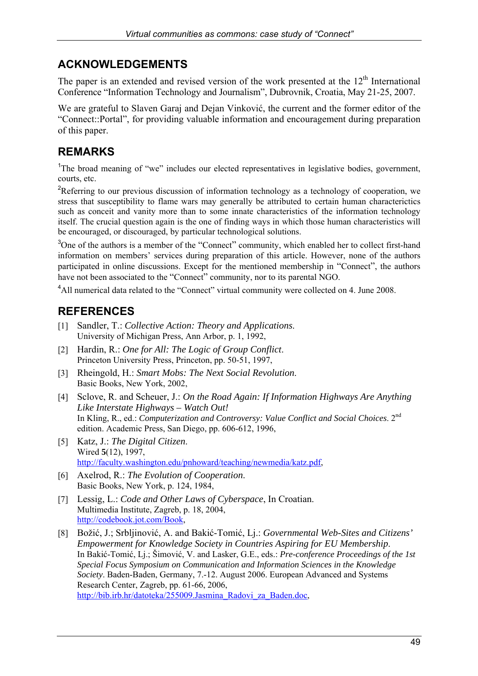### **ACKNOWLEDGEMENTS**

The paper is an extended and revised version of the work presented at the  $12<sup>th</sup>$  International Conference "Information Technology and Journalism", Dubrovnik, Croatia, May 21-25, 2007.

We are grateful to Slaven Garaj and Dejan Vinković, the current and the former editor of the "Connect::Portal", for providing valuable information and encouragement during preparation of this paper.

### **REMARKS**

<sup>1</sup>The broad meaning of "we" includes our elected representatives in legislative bodies, government, courts, etc.

<sup>2</sup>Referring to our previous discussion of information technology as a technology of cooperation, we stress that susceptibility to flame wars may generally be attributed to certain human characterictics such as conceit and vanity more than to some innate characteristics of the information technology itself. The crucial question again is the one of finding ways in which those human characteristics will be encouraged, or discouraged, by particular technological solutions.

<sup>3</sup>One of the authors is a member of the "Connect" community, which enabled her to collect first-hand information on members' services during preparation of this article. However, none of the authors participated in online discussions. Except for the mentioned membership in "Connect", the authors have not been associated to the "Connect" community, nor to its parental NGO.

<sup>4</sup>All numerical data related to the "Connect" virtual community were collected on 4. June 2008.

### **REFERENCES**

- [1] Sandler, T.: *Collective Action: Theory and Applications*. University of Michigan Press, Ann Arbor, p. 1, 1992,
- [2] Hardin, R.: *One for All: The Logic of Group Conflict*. Princeton University Press, Princeton, pp. 50-51, 1997,
- [3] Rheingold, H.: *Smart Mobs: The Next Social Revolution*. Basic Books, New York, 2002,
- [4] Sclove, R. and Scheuer, J.: *On the Road Again: If Information Highways Are Anything Like Interstate Highways – Watch Out!* In Kling, R., ed.: *Computerization and Controversy: Value Conflict and Social Choices*. 2<sup>nd</sup> edition. Academic Press, San Diego, pp. 606-612, 1996,
- [5] Katz, J.: *The Digital Citizen*. Wired **5**(12), 1997, [http://faculty.washington.edu/pnhoward/teaching/newmedia/katz.pdf,](http://faculty.washington.edu/pnhoward/teaching/newmedia/katz.pdf)
- [6] Axelrod, R.: *The Evolution of Cooperation*. Basic Books, New York, p. 124, 1984,
- [7] Lessig, L.: *Code and Other Laws of Cyberspace*, In Croatian. Multimedia Institute, Zagreb, p. 18, 2004, [http://codebook.jot.com/Book,](http://codebook.jot.com/Book)
- [8] Božić, J.; Srbljinović, A. and Bakić-Tomić, Lj.: *Governmental Web-Sites and Citizens' Empowerment for Knowledge Society in Countries Aspiring for EU Membership*. In Bakić-Tomić, Lj.; Šimović, V. and Lasker, G.E., eds.: *Pre-conference Proceedings of the 1st Special Focus Symposium on Communication and Information Sciences in the Knowledge Society*. Baden-Baden, Germany, 7.-12. August 2006. European Advanced and Systems Research Center, Zagreb, pp. 61-66, 2006, http://bib.irb.hr/datoteka/255009.Jasmina Radovi za Baden.doc,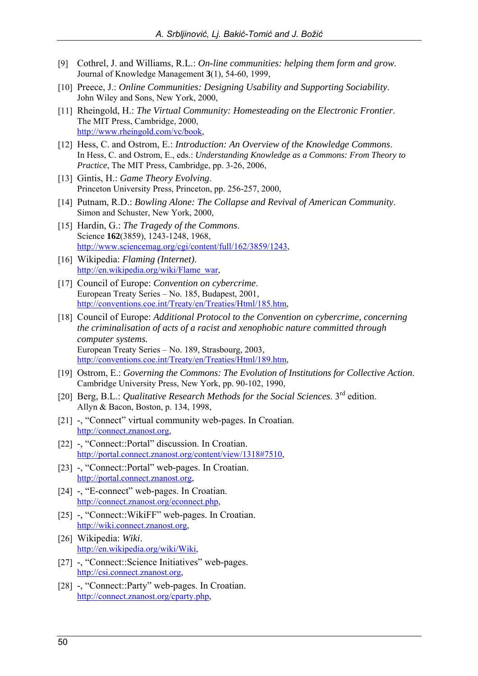- [9] Cothrel, J. and Williams, R.L.: *On-line communities: helping them form and grow*. Journal of Knowledge Management **3**(1), 54-60, 1999,
- [10] Preece, J.: *Online Communities: Designing Usability and Supporting Sociability*. John Wiley and Sons, New York, 2000,
- [11] Rheingold, H.: *The Virtual Community: Homesteading on the Electronic Frontier*. The MIT Press, Cambridge, 2000, [http://www.rheingold.com/vc/book,](http://www.rheingold.com/vc/book)
- [12] Hess, C. and Ostrom, E.: *Introduction: An Overview of the Knowledge Commons*. In Hess, C. and Ostrom, E., eds.: *Understanding Knowledge as a Commons: From Theory to Practice*, The MIT Press, Cambridge, pp. 3-26, 2006,
- [13] Gintis, H.: *Game Theory Evolving*. Princeton University Press, Princeton, pp. 256-257, 2000,
- [14] Putnam, R.D.: *Bowling Alone: The Collapse and Revival of American Community*. Simon and Schuster, New York, 2000,
- [15] Hardin, G.: *The Tragedy of the Commons*. Science **162**(3859), 1243-1248, 1968, [http://www.sciencemag.org/cgi/content/full/162/3859/1243,](http://www.sciencemag.org/cgi/content/full/162/3859/1243)
- [16] Wikipedia: *Flaming (Internet)*. [http://en.wikipedia.org/wiki/Flame\\_war,](http://en.wikipedia.org/wiki/Flame_war)
- [17] Council of Europe: *Convention on cybercrime*. European Treaty Series – No. 185, Budapest, 2001, [http://conventions.coe.int/Treaty/en/Treaties/Html/185.htm,](http://conventions.coe.int/Treaty/en/Treaties/Html/185.htm)
- [18] Council of Europe: *Additional Protocol to the Convention on cybercrime, concerning the criminalisation of acts of a racist and xenophobic nature committed through computer systems.* European Treaty Series – No. 189, Strasbourg, 2003, [http://conventions.coe.int/Treaty/en/Treaties/Html/189.htm,](http://conventions.coe.int/Treaty/en/Treaties/Html/189.htm)
- [19] Ostrom, E.: *Governing the Commons: The Evolution of Institutions for Collective Action*. Cambridge University Press, New York, pp. 90-102, 1990,
- [20] Berg, B.L.: *Qualitative Research Methods for the Social Sciences*. 3rd edition. Allyn & Bacon, Boston, p. 134, 1998,
- [21] -, "Connect" virtual community web-pages. In Croatian. [http://connect.znanost.org,](http://connect.znanost.org)
- [22] -, "Connect::Portal" discussion. In Croatian. [http://portal.connect.znanost.org/content/view/1318#7510,](http://portal.connect.znanost.org/content/view/1318#7510)
- [23] -, "Connect::Portal" web-pages. In Croatian. [http://portal.connect.znanost.org,](http://portal.connect.znanost.org)
- [24] -, "E-connect" web-pages. In Croatian. [http://connect.znanost.org/econnect.php,](http://connect.znanost.org/econnect.php)
- [25] -, "Connect::WikiFF" web-pages. In Croatian. [http://wiki.connect.znanost.org,](http://wiki.connect.znanost.org)
- [26] Wikipedia: *Wiki*. [http://en.wikipedia.org/wiki/Wiki,](http://en.wikipedia.org/wiki/Wiki)
- [27] -, "Connect::Science Initiatives" web-pages. [http://csi.connect.znanost.org,](http://csi.connect.znanost.org)
- [28] -, "Connect::Party" web-pages. In Croatian. [http://connect.znanost.org/cparty.php,](http://connect.znanost.org/cparty.php)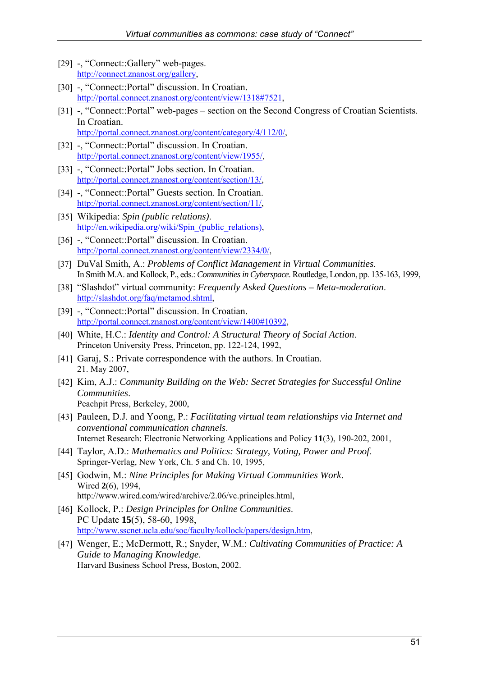- [29] -, "Connect::Gallery" web-pages. [http://connect.znanost.org/gallery,](http://connect.znanost.org/gallery)
- [30] -, "Connect::Portal" discussion. In Croatian. [http://portal.connect.znanost.org/content/view/1318#7521,](http://portal.connect.znanost.org/content/view/1318#7521)
- [31] -, "Connect::Portal" web-pages section on the Second Congress of Croatian Scientists. In Croatian. [http://portal.connect.znanost.org/content/category/4/112/0/,](http://portal.connect.znanost.org/content/category/4/112/0/)
- [32] -, "Connect::Portal" discussion. In Croatian. [http://portal.connect.znanost.org/content/view/1955/,](http://portal.connect.znanost.org/content/view/1955/)
- [33] -, "Connect::Portal" Jobs section. In Croatian. [http://portal.connect.znanost.org/content/section/13/,](http://portal.connect.znanost.org/content/section/13/)
- [34] -, "Connect::Portal" Guests section. In Croatian. [http://portal.connect.znanost.org/content/section/11/,](http://portal.connect.znanost.org/content/section/11/)
- [35] Wikipedia: *Spin (public relations)*. http://en.wikipedia.org/wiki/Spin (public relations),
- [36] -, "Connect::Portal" discussion. In Croatian. [http://portal.connect.znanost.org/content/view/2334/0/,](http://portal.connect.znanost.org/content/view/2334/0/)
- [37] DuVal Smith, A.: *Problems of Conflict Management in Virtual Communities*. In Smith M.A. and Kollock, P., eds.: *Communities in Cyberspace*. Routledge, London, pp. 135-163, 1999,
- [38] "Slashdot" virtual community: *Frequently Asked Questions Meta-moderation*. [http://slashdot.org/faq/metamod.shtml,](http://slashdot.org/faq/metamod.shtml)
- [39] -, "Connect::Portal" discussion. In Croatian. [http://portal.connect.znanost.org/content/view/1400#10392,](http://portal.connect.znanost.org/content/view/1400#10392)
- [40] White, H.C.: *Identity and Control: A Structural Theory of Social Action*. Princeton University Press, Princeton, pp. 122-124, 1992,
- [41] Garaj, S.: Private correspondence with the authors. In Croatian. 21. May 2007,
- [42] Kim, A.J.: *Community Building on the Web: Secret Strategies for Successful Online Communities*. Peachpit Press, Berkeley, 2000,
- [43] Pauleen, D.J. and Yoong, P.: *Facilitating virtual team relationships via Internet and conventional communication channels*. Internet Research: Electronic Networking Applications and Policy **11**(3), 190-202, 2001,
- [44] Taylor, A.D.: *Mathematics and Politics: Strategy, Voting, Power and Proof*. Springer-Verlag, New York, Ch. 5 and Ch. 10, 1995,
- [45] Godwin, M.: *Nine Principles for Making Virtual Communities Work*. Wired **2**(6), 1994, [http://www.wired.com/wired/archive/2.06/vc.principles.html,](http://www.wired.com/wired/archive/2.06/vc.principles.html)
- [46] Kollock, P.: *Design Principles for Online Communities*. PC Update **15**(5), 58-60, 1998, [http://www.sscnet.ucla.edu/soc/faculty/kollock/papers/design.htm,](http://www.sscnet.ucla.edu/soc/faculty/kollock/papers/design.htm)
- [47] Wenger, E.; McDermott, R.; Snyder, W.M.: *Cultivating Communities of Practice: A Guide to Managing Knowledge*. Harvard Business School Press, Boston, 2002.